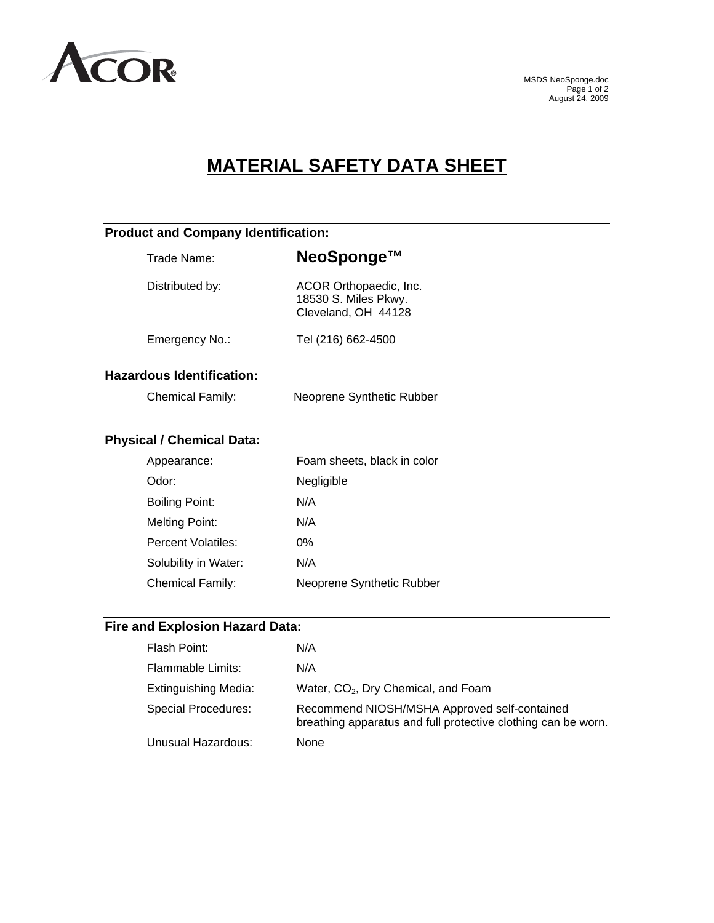

# **MATERIAL SAFETY DATA SHEET**

| <b>Product and Company Identification:</b> |                                                                       |  |
|--------------------------------------------|-----------------------------------------------------------------------|--|
| Trade Name:                                | NeoSponge™                                                            |  |
| Distributed by:                            | ACOR Orthopaedic, Inc.<br>18530 S. Miles Pkwy.<br>Cleveland, OH 44128 |  |
| Emergency No.:                             | Tel (216) 662-4500                                                    |  |
| <b>Hazardous Identification:</b>           |                                                                       |  |
| <b>Chemical Family:</b>                    | Neoprene Synthetic Rubber                                             |  |
| <b>Physical / Chemical Data:</b>           |                                                                       |  |
| Appearance:                                | Foam sheets, black in color                                           |  |
| Odor:                                      | Negligible                                                            |  |
| <b>Boiling Point:</b>                      | N/A                                                                   |  |
| <b>Melting Point:</b>                      | N/A                                                                   |  |
| <b>Percent Volatiles:</b>                  | 0%                                                                    |  |
| Solubility in Water:                       | N/A                                                                   |  |
| <b>Chemical Family:</b>                    | Neoprene Synthetic Rubber                                             |  |
| <b>Fire and Explosion Hazard Data:</b>     |                                                                       |  |
| Flash Point:                               | N/A                                                                   |  |
| <b>Flammable Limits:</b>                   | N/A                                                                   |  |
| <b>Extinguishing Media:</b>                | Water, CO <sub>2</sub> , Dry Chemical, and Foam                       |  |

Special Procedures: Recommend NIOSH/MSHA Approved self-contained breathing apparatus and full protective clothing can be worn. Unusual Hazardous: None